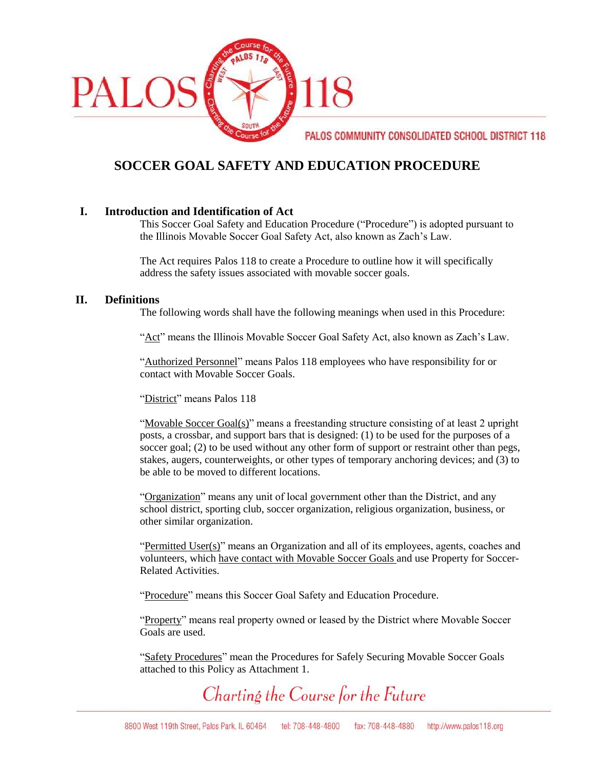

## **SOCCER GOAL SAFETY AND EDUCATION PROCEDURE**

## **I. Introduction and Identification of Act**

This Soccer Goal Safety and Education Procedure ("Procedure") is adopted pursuant to the Illinois Movable Soccer Goal Safety Act, also known as Zach's Law.

The Act requires Palos 118 to create a Procedure to outline how it will specifically address the safety issues associated with movable soccer goals.

#### **II. Definitions**

The following words shall have the following meanings when used in this Procedure:

"Act" means the Illinois Movable Soccer Goal Safety Act, also known as Zach's Law.

"Authorized Personnel" means Palos 118 employees who have responsibility for or contact with Movable Soccer Goals.

"District" means Palos 118

"Movable Soccer Goal(s)" means a freestanding structure consisting of at least 2 upright posts, a crossbar, and support bars that is designed: (1) to be used for the purposes of a soccer goal; (2) to be used without any other form of support or restraint other than pegs, stakes, augers, counterweights, or other types of temporary anchoring devices; and (3) to be able to be moved to different locations.

"Organization" means any unit of local government other than the District, and any school district, sporting club, soccer organization, religious organization, business, or other similar organization.

"Permitted User(s)" means an Organization and all of its employees, agents, coaches and volunteers, which have contact with Movable Soccer Goals and use Property for Soccer-Related Activities.

"Procedure" means this Soccer Goal Safety and Education Procedure.

"Property" means real property owned or leased by the District where Movable Soccer Goals are used.

"Safety Procedures" mean the Procedures for Safely Securing Movable Soccer Goals attached to this Policy as Attachment 1.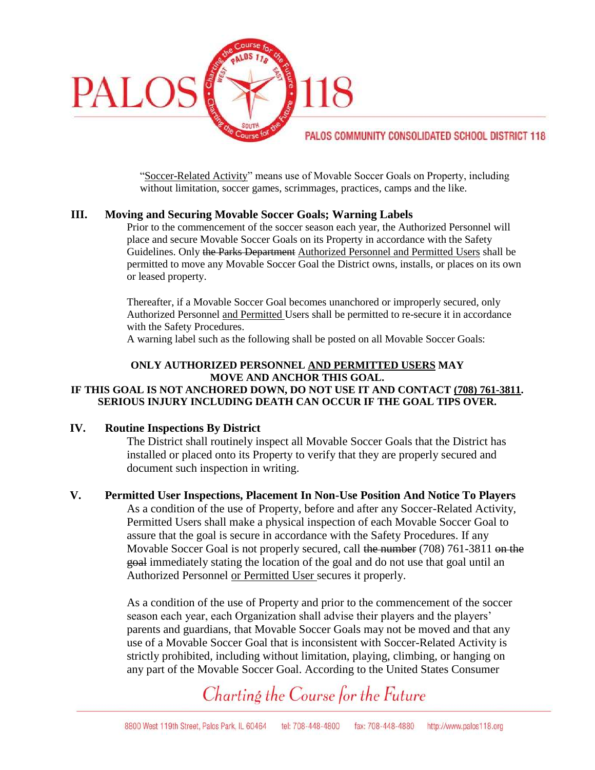

"Soccer-Related Activity" means use of Movable Soccer Goals on Property, including without limitation, soccer games, scrimmages, practices, camps and the like.

## **III. Moving and Securing Movable Soccer Goals; Warning Labels**

Prior to the commencement of the soccer season each year, the Authorized Personnel will place and secure Movable Soccer Goals on its Property in accordance with the Safety Guidelines. Only the Parks Department Authorized Personnel and Permitted Users shall be permitted to move any Movable Soccer Goal the District owns, installs, or places on its own or leased property.

Thereafter, if a Movable Soccer Goal becomes unanchored or improperly secured, only Authorized Personnel and Permitted Users shall be permitted to re-secure it in accordance with the Safety Procedures.

A warning label such as the following shall be posted on all Movable Soccer Goals:

#### **ONLY AUTHORIZED PERSONNEL AND PERMITTED USERS MAY MOVE AND ANCHOR THIS GOAL. IF THIS GOAL IS NOT ANCHORED DOWN, DO NOT USE IT AND CONTACT (708) 761-3811. SERIOUS INJURY INCLUDING DEATH CAN OCCUR IF THE GOAL TIPS OVER.**

## **IV. Routine Inspections By District**

The District shall routinely inspect all Movable Soccer Goals that the District has installed or placed onto its Property to verify that they are properly secured and document such inspection in writing.

**V. Permitted User Inspections, Placement In Non-Use Position And Notice To Players** As a condition of the use of Property, before and after any Soccer-Related Activity, Permitted Users shall make a physical inspection of each Movable Soccer Goal to assure that the goal is secure in accordance with the Safety Procedures. If any Movable Soccer Goal is not properly secured, call the number (708) 761-3811 on the goal immediately stating the location of the goal and do not use that goal until an Authorized Personnel or Permitted User secures it properly.

> As a condition of the use of Property and prior to the commencement of the soccer season each year, each Organization shall advise their players and the players' parents and guardians, that Movable Soccer Goals may not be moved and that any use of a Movable Soccer Goal that is inconsistent with Soccer-Related Activity is strictly prohibited, including without limitation, playing, climbing, or hanging on any part of the Movable Soccer Goal. According to the United States Consumer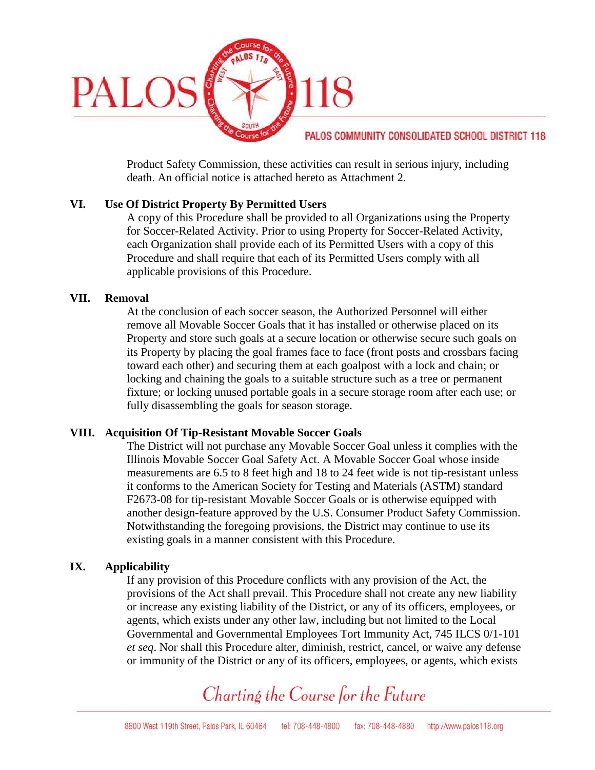

Product Safety Commission, these activities can result in serious injury, including death. An official notice is attached hereto as Attachment 2.

## **VI. Use Of District Property By Permitted Users**

A copy of this Procedure shall be provided to all Organizations using the Property for Soccer-Related Activity. Prior to using Property for Soccer-Related Activity, each Organization shall provide each of its Permitted Users with a copy of this Procedure and shall require that each of its Permitted Users comply with all applicable provisions of this Procedure.

#### **VII. Removal**

At the conclusion of each soccer season, the Authorized Personnel will either remove all Movable Soccer Goals that it has installed or otherwise placed on its Property and store such goals at a secure location or otherwise secure such goals on its Property by placing the goal frames face to face (front posts and crossbars facing toward each other) and securing them at each goalpost with a lock and chain; or locking and chaining the goals to a suitable structure such as a tree or permanent fixture; or locking unused portable goals in a secure storage room after each use; or fully disassembling the goals for season storage.

## **VIII. Acquisition Of Tip-Resistant Movable Soccer Goals**

The District will not purchase any Movable Soccer Goal unless it complies with the Illinois Movable Soccer Goal Safety Act. A Movable Soccer Goal whose inside measurements are 6.5 to 8 feet high and 18 to 24 feet wide is not tip-resistant unless it conforms to the American Society for Testing and Materials (ASTM) standard F2673-08 for tip-resistant Movable Soccer Goals or is otherwise equipped with another design-feature approved by the U.S. Consumer Product Safety Commission. Notwithstanding the foregoing provisions, the District may continue to use its existing goals in a manner consistent with this Procedure.

## **IX. Applicability**

If any provision of this Procedure conflicts with any provision of the Act, the provisions of the Act shall prevail. This Procedure shall not create any new liability or increase any existing liability of the District, or any of its officers, employees, or agents, which exists under any other law, including but not limited to the Local Governmental and Governmental Employees Tort Immunity Act, 745 ILCS 0/1-101 *et seq*. Nor shall this Procedure alter, diminish, restrict, cancel, or waive any defense or immunity of the District or any of its officers, employees, or agents, which exists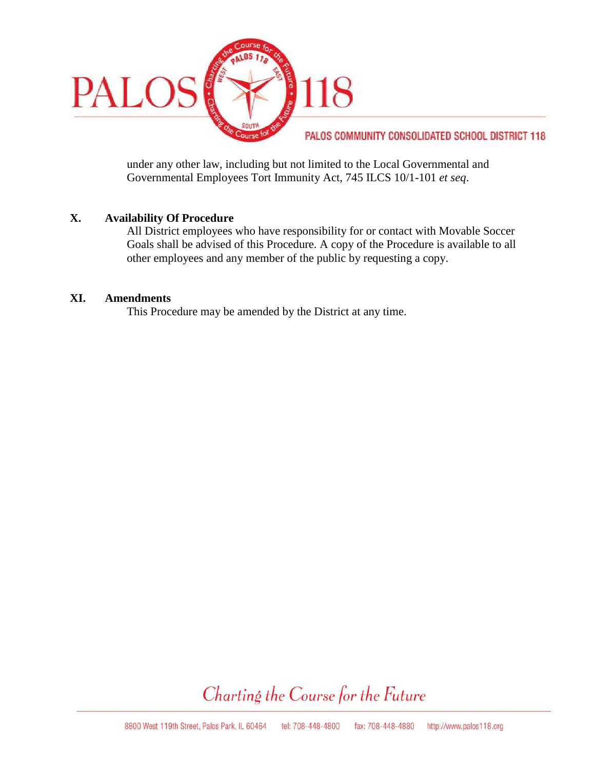

under any other law, including but not limited to the Local Governmental and Governmental Employees Tort Immunity Act, 745 ILCS 10/1-101 *et seq*.

## **X. Availability Of Procedure**

All District employees who have responsibility for or contact with Movable Soccer Goals shall be advised of this Procedure. A copy of the Procedure is available to all other employees and any member of the public by requesting a copy.

## **XI. Amendments**

This Procedure may be amended by the District at any time.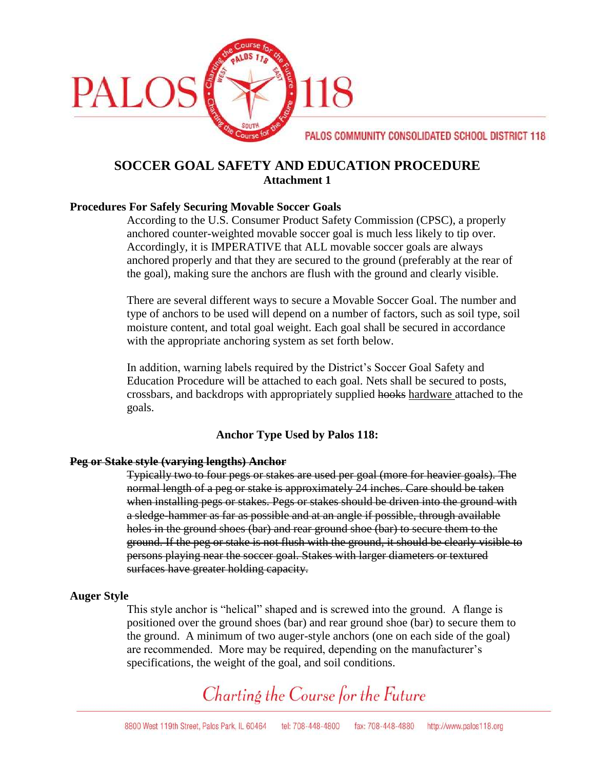

## **SOCCER GOAL SAFETY AND EDUCATION PROCEDURE Attachment 1**

## **Procedures For Safely Securing Movable Soccer Goals**

According to the U.S. Consumer Product Safety Commission (CPSC), a properly anchored counter-weighted movable soccer goal is much less likely to tip over. Accordingly, it is IMPERATIVE that ALL movable soccer goals are always anchored properly and that they are secured to the ground (preferably at the rear of the goal), making sure the anchors are flush with the ground and clearly visible.

There are several different ways to secure a Movable Soccer Goal. The number and type of anchors to be used will depend on a number of factors, such as soil type, soil moisture content, and total goal weight. Each goal shall be secured in accordance with the appropriate anchoring system as set forth below.

In addition, warning labels required by the District's Soccer Goal Safety and Education Procedure will be attached to each goal. Nets shall be secured to posts, crossbars, and backdrops with appropriately supplied hooks hardware attached to the goals.

## **Anchor Type Used by Palos 118:**

## **Peg or Stake style (varying lengths) Anchor**

Typically two to four pegs or stakes are used per goal (more for heavier goals). The normal length of a peg or stake is approximately 24 inches. Care should be taken when installing pegs or stakes. Pegs or stakes should be driven into the ground with a sledge-hammer as far as possible and at an angle if possible, through available holes in the ground shoes (bar) and rear ground shoe (bar) to secure them to the ground. If the peg or stake is not flush with the ground, it should be clearly visible to persons playing near the soccer goal. Stakes with larger diameters or textured surfaces have greater holding capacity.

#### **Auger Style**

This style anchor is "helical" shaped and is screwed into the ground. A flange is positioned over the ground shoes (bar) and rear ground shoe (bar) to secure them to the ground. A minimum of two auger-style anchors (one on each side of the goal) are recommended. More may be required, depending on the manufacturer's specifications, the weight of the goal, and soil conditions.